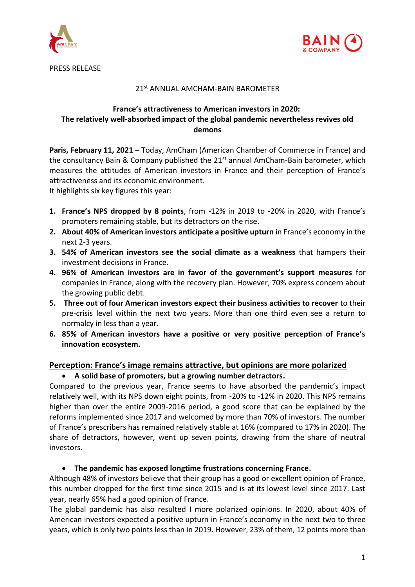



### 21st ANNUAL AMCHAM-BAIN BAROMETER

# **France's attractiveness to American investors in 2020: The relatively well-absorbed impact of the global pandemic nevertheless revives old demons**

**Paris, February 11, 2021** – Today, AmCham (American Chamber of Commerce in France) and the consultancy Bain & Company published the 21<sup>st</sup> annual AmCham-Bain barometer, which measures the attitudes of American investors in France and their perception of France's attractiveness and its economic environment.

It highlights six key figures this year:

- **1. France's NPS dropped by 8 points**, from -12% in 2019 to -20% in 2020, with France's promoters remaining stable, but its detractors on the rise.
- **2. About 40% of American investors anticipate a positive upturn** in France's economy in the next 2-3 years.
- **3. 54% of American investors see the social climate as a weakness** that hampers their investment decisions in France.
- **4. 96% of American investors are in favor of the government's support measures** for companies in France, along with the recovery plan. However, 70% express concern about the growing public debt.
- **5. Three out of four American investors expect their business activities to recover** to their pre-crisis level within the next two years. More than one third even see a return to normalcy in less than a year.
- **6. 85% of American investors have a positive or very positive perception of France's innovation ecosystem.**

## **Perception: France's image remains attractive, but opinions are more polarized**

## • **A solid base of promoters, but a growing number detractors.**

Compared to the previous year, France seems to have absorbed the pandemic's impact relatively well, with its NPS down eight points, from -20% to -12% in 2020. This NPS remains higher than over the entire 2009-2016 period, a good score that can be explained by the reforms implemented since 2017 and welcomed by more than 70% of investors. The number of France's prescribers has remained relatively stable at 16% (compared to 17% in 2020). The share of detractors, however, went up seven points, drawing from the share of neutral investors.

#### • **The pandemic has exposed longtime frustrations concerning France.**

Although 48% of investors believe that their group has a good or excellent opinion of France, this number dropped for the first time since 2015 and is at its lowest level since 2017. Last year, nearly 65% had a good opinion of France.

The global pandemic has also resulted I more polarized opinions. In 2020, about 40% of American investors expected a positive upturn in France's economy in the next two to three years, which is only two points less than in 2019. However, 23% of them, 12 points more than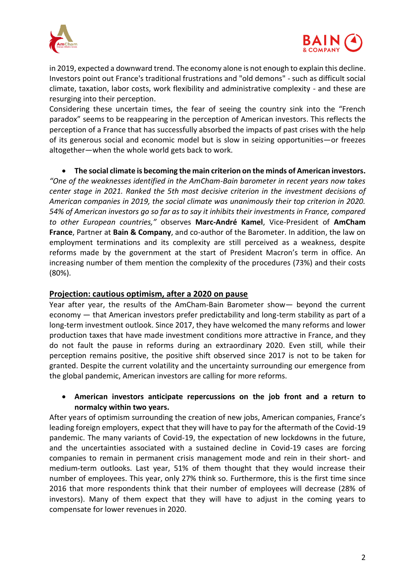



in 2019, expected a downward trend. The economy alone is not enough to explain this decline. Investors point out France's traditional frustrations and "old demons" - such as difficult social climate, taxation, labor costs, work flexibility and administrative complexity - and these are resurging into their perception.

Considering these uncertain times, the fear of seeing the country sink into the "French paradox" seems to be reappearing in the perception of American investors. This reflects the perception of a France that has successfully absorbed the impacts of past crises with the help of its generous social and economic model but is slow in seizing opportunities—or freezes altogether—when the whole world gets back to work.

• **The social climate is becoming the main criterion on the minds of American investors.** *"One of the weaknesses identified in the AmCham-Bain barometer in recent years now takes center stage in 2021. Ranked the 5th most decisive criterion in the investment decisions of American companies in 2019, the social climate was unanimously their top criterion in 2020. 54% of American investors go so far as to say it inhibits their investments in France, compared to other European countries,"* observes **Marc-André Kamel**, Vice-President of **AmCham France**, Partner at **Bain & Company**, and co-author of the Barometer. In addition, the law on employment terminations and its complexity are still perceived as a weakness, despite reforms made by the government at the start of President Macron's term in office. An increasing number of them mention the complexity of the procedures (73%) and their costs (80%).

## **Projection: cautious optimism, after a 2020 on pause**

Year after year, the results of the AmCham-Bain Barometer show— beyond the current economy — that American investors prefer predictability and long-term stability as part of a long-term investment outlook. Since 2017, they have welcomed the many reforms and lower production taxes that have made investment conditions more attractive in France, and they do not fault the pause in reforms during an extraordinary 2020. Even still, while their perception remains positive, the positive shift observed since 2017 is not to be taken for granted. Despite the current volatility and the uncertainty surrounding our emergence from the global pandemic, American investors are calling for more reforms.

## • **American investors anticipate repercussions on the job front and a return to normalcy within two years.**

After years of optimism surrounding the creation of new jobs, American companies, France's leading foreign employers, expect that they will have to pay for the aftermath of the Covid-19 pandemic. The many variants of Covid-19, the expectation of new lockdowns in the future, and the uncertainties associated with a sustained decline in Covid-19 cases are forcing companies to remain in permanent crisis management mode and rein in their short- and medium-term outlooks. Last year, 51% of them thought that they would increase their number of employees. This year, only 27% think so. Furthermore, this is the first time since 2016 that more respondents think that their number of employees will decrease (28% of investors). Many of them expect that they will have to adjust in the coming years to compensate for lower revenues in 2020.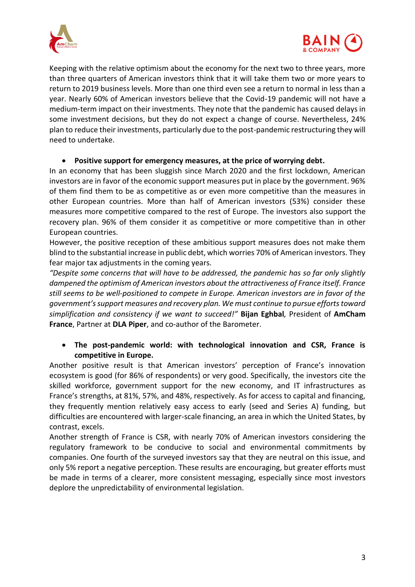



Keeping with the relative optimism about the economy for the next two to three years, more than three quarters of American investors think that it will take them two or more years to return to 2019 business levels. More than one third even see a return to normal in less than a year. Nearly 60% of American investors believe that the Covid-19 pandemic will not have a medium-term impact on their investments. They note that the pandemic has caused delays in some investment decisions, but they do not expect a change of course. Nevertheless, 24% plan to reduce their investments, particularly due to the post-pandemic restructuring they will need to undertake.

## • **Positive support for emergency measures, at the price of worrying debt.**

In an economy that has been sluggish since March 2020 and the first lockdown, American investors are in favor of the economic support measures put in place by the government. 96% of them find them to be as competitive as or even more competitive than the measures in other European countries. More than half of American investors (53%) consider these measures more competitive compared to the rest of Europe. The investors also support the recovery plan. 96% of them consider it as competitive or more competitive than in other European countries.

However, the positive reception of these ambitious support measures does not make them blind to the substantial increase in public debt, which worries 70% of American investors. They fear major tax adjustments in the coming years.

*"Despite some concerns that will have to be addressed, the pandemic has so far only slightly dampened the optimism of American investors about the attractiveness of France itself. France still seems to be well-positioned to compete in Europe. American investors are in favor of the government's support measures and recovery plan. We must continue to pursue efforts toward simplification and consistency if we want to succeed!"* **Bijan Eghbal***,* President of **AmCham France**, Partner at **DLA Piper**, and co-author of the Barometer.

## • **The post-pandemic world: with technological innovation and CSR, France is competitive in Europe.**

Another positive result is that American investors' perception of France's innovation ecosystem is good (for 86% of respondents) or very good. Specifically, the investors cite the skilled workforce, government support for the new economy, and IT infrastructures as France's strengths, at 81%, 57%, and 48%, respectively. As for access to capital and financing, they frequently mention relatively easy access to early (seed and Series A) funding, but difficulties are encountered with larger-scale financing, an area in which the United States, by contrast, excels.

Another strength of France is CSR, with nearly 70% of American investors considering the regulatory framework to be conducive to social and environmental commitments by companies. One fourth of the surveyed investors say that they are neutral on this issue, and only 5% report a negative perception. These results are encouraging, but greater efforts must be made in terms of a clearer, more consistent messaging, especially since most investors deplore the unpredictability of environmental legislation.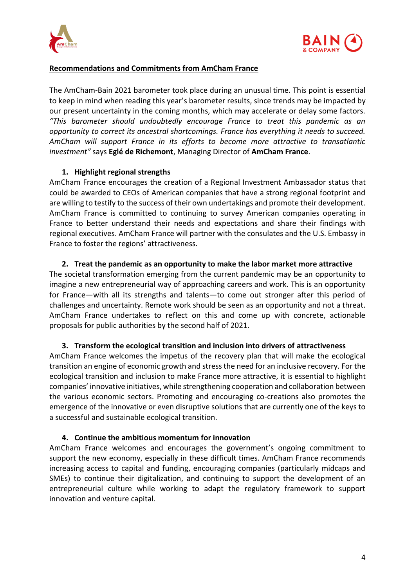



### **Recommendations and Commitments from AmCham France**

The AmCham-Bain 2021 barometer took place during an unusual time. This point is essential to keep in mind when reading this year's barometer results, since trends may be impacted by our present uncertainty in the coming months, which may accelerate or delay some factors. *"This barometer should undoubtedly encourage France to treat this pandemic as an opportunity to correct its ancestral shortcomings. France has everything it needs to succeed. AmCham will support France in its efforts to become more attractive to transatlantic investment"* says **Eglé de Richemont**, Managing Director of **AmCham France**.

### **1. Highlight regional strengths**

AmCham France encourages the creation of a Regional Investment Ambassador status that could be awarded to CEOs of American companies that have a strong regional footprint and are willing to testify to the success of their own undertakings and promote their development. AmCham France is committed to continuing to survey American companies operating in France to better understand their needs and expectations and share their findings with regional executives. AmCham France will partner with the consulates and the U.S. Embassy in France to foster the regions' attractiveness.

### **2. Treat the pandemic as an opportunity to make the labor market more attractive**

The societal transformation emerging from the current pandemic may be an opportunity to imagine a new entrepreneurial way of approaching careers and work. This is an opportunity for France—with all its strengths and talents—to come out stronger after this period of challenges and uncertainty. Remote work should be seen as an opportunity and not a threat. AmCham France undertakes to reflect on this and come up with concrete, actionable proposals for public authorities by the second half of 2021.

#### **3. Transform the ecological transition and inclusion into drivers of attractiveness**

AmCham France welcomes the impetus of the recovery plan that will make the ecological transition an engine of economic growth and stress the need for an inclusive recovery. For the ecological transition and inclusion to make France more attractive, it is essential to highlight companies' innovative initiatives, while strengthening cooperation and collaboration between the various economic sectors. Promoting and encouraging co-creations also promotes the emergence of the innovative or even disruptive solutions that are currently one of the keys to a successful and sustainable ecological transition.

#### **4. Continue the ambitious momentum for innovation**

AmCham France welcomes and encourages the government's ongoing commitment to support the new economy, especially in these difficult times. AmCham France recommends increasing access to capital and funding, encouraging companies (particularly midcaps and SMEs) to continue their digitalization, and continuing to support the development of an entrepreneurial culture while working to adapt the regulatory framework to support innovation and venture capital.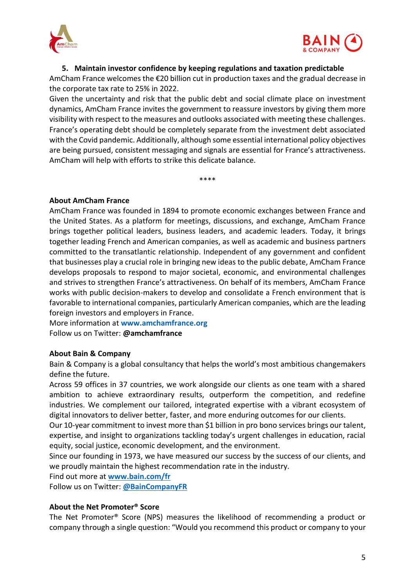



## **5. Maintain investor confidence by keeping regulations and taxation predictable**

AmCham France welcomes the €20 billion cut in production taxes and the gradual decrease in the corporate tax rate to 25% in 2022.

Given the uncertainty and risk that the public debt and social climate place on investment dynamics, AmCham France invites the government to reassure investors by giving them more visibility with respect to the measures and outlooks associated with meeting these challenges. France's operating debt should be completely separate from the investment debt associated with the Covid pandemic. Additionally, although some essential international policy objectives are being pursued, consistent messaging and signals are essential for France's attractiveness. AmCham will help with efforts to strike this delicate balance.

\*\*\*\*

**About AmCham France** 

AmCham France was founded in 1894 to promote economic exchanges between France and the United States. As a platform for meetings, discussions, and exchange, AmCham France brings together political leaders, business leaders, and academic leaders. Today, it brings together leading French and American companies, as well as academic and business partners committed to the transatlantic relationship. Independent of any government and confident that businesses play a crucial role in bringing new ideas to the public debate, AmCham France develops proposals to respond to major societal, economic, and environmental challenges and strives to strengthen France's attractiveness. On behalf of its members, AmCham France works with public decision-makers to develop and consolidate a French environment that is favorable to international companies, particularly American companies, which are the leading foreign investors and employers in France.

More information at **www.amchamfrance.org** Follow us on Twitter: **@amchamfrance**

#### **About Bain & Company**

Bain & Company is a global consultancy that helps the world's most ambitious changemakers define the future. 

Across 59 offices in 37 countries, we work alongside our clients as one team with a shared ambition to achieve extraordinary results, outperform the competition, and redefine industries. We complement our tailored, integrated expertise with a vibrant ecosystem of digital innovators to deliver better, faster, and more enduring outcomes for our clients. 

Our 10-year commitment to invest more than \$1 billion in pro bono services brings our talent, expertise, and insight to organizations tackling today's urgent challenges in education, racial equity, social justice, economic development, and the environment.  

Since our founding in 1973, we have measured our success by the success of our clients, and we proudly maintain the highest recommendation rate in the industry.

Find out more at **[www.bain.com/fr](http://www.bain.com/fr)**

Follow us on Twitter: **[@BainCompanyFR](https://twitter.com/baincompanyfr)**

## **About the Net Promoter® Score**

The Net Promoter® Score (NPS) measures the likelihood of recommending a product or company through a single question: "Would you recommend this product or company to your